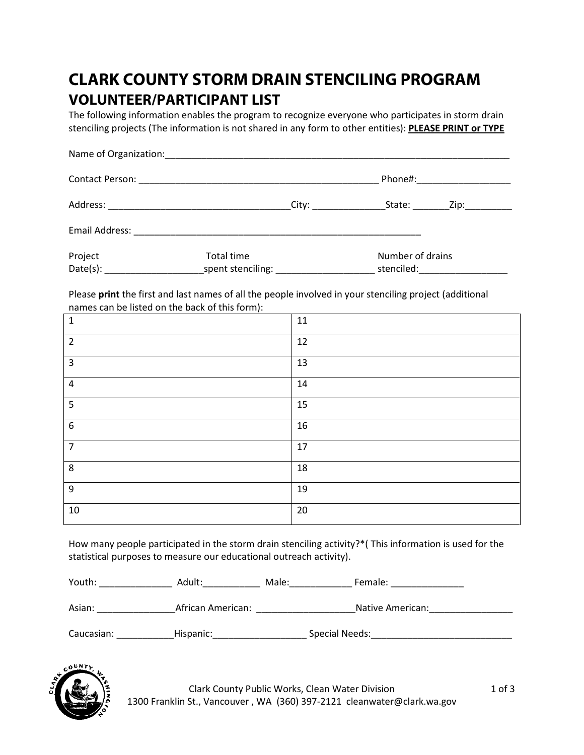## **CLARK COUNTY STORM DRAIN STENCILING PROGRAM VOLUNTEER/PARTICIPANT LIST**

The following information enables the program to recognize everyone who participates in storm drain stenciling projects (The information is not shared in any form to other entities): **PLEASE PRINT or TYPE**

|         |                                    |                               | Phone#:______________________   |
|---------|------------------------------------|-------------------------------|---------------------------------|
|         |                                    |                               | State: _________Zip:___________ |
|         |                                    |                               |                                 |
| Project | Total time                         | Number of drains              |                                 |
|         | spent stenciling: ________________ | stenciled: and the stenciled: |                                 |

Please **print** the first and last names of all the people involved in your stenciling project (additional names can be listed on the back of this form):

| $\overline{\phantom{a}}$ |        |
|--------------------------|--------|
| $\mathbf{1}$             | $11\,$ |
| $\overline{2}$           | 12     |
| $\overline{3}$           | 13     |
| $\pmb{4}$                | 14     |
| 5                        | 15     |
| $\boldsymbol{6}$         | 16     |
| $\overline{7}$           | 17     |
| 8                        | 18     |
| $9\,$                    | 19     |
| 10                       | 20     |

How many people participated in the storm drain stenciling activity?\*( This information is used for the statistical purposes to measure our educational outreach activity).

Youth: The Adult: Adult: Male: The Female: Example Female:  $\blacksquare$ 

Asian: \_\_\_\_\_\_\_\_\_\_\_\_\_\_\_African American: \_\_\_\_\_\_\_\_\_\_\_\_\_\_\_\_\_\_\_Native American:\_\_\_\_\_\_\_\_\_\_\_\_\_\_\_\_

Caucasian: \_\_\_\_\_\_\_\_\_\_\_Hispanic:\_\_\_\_\_\_\_\_\_\_\_\_\_\_\_\_\_\_ Special Needs:\_\_\_\_\_\_\_\_\_\_\_\_\_\_\_\_\_\_\_\_\_\_\_\_\_\_\_



Clark County Public Works, Clean Water Division 1 of 3 1300 Franklin St., Vancouver , WA (360) 397-2121 [cleanwater@clark.wa.gov](mailto:cleanwater@clark.wa.gov)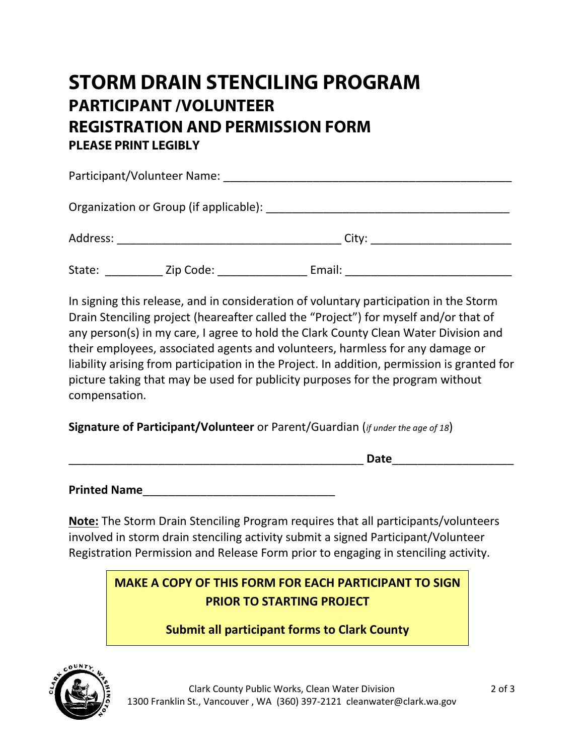# **STORM DRAIN STENCILING PROGRAM PARTICIPANT /VOLUNTEER REGISTRATION AND PERMISSION FORM PLEASE PRINT LEGIBLY**

|          | Participant/Volunteer Name:                                                                                                                                                                                                    |        |  |
|----------|--------------------------------------------------------------------------------------------------------------------------------------------------------------------------------------------------------------------------------|--------|--|
|          | Organization or Group (if applicable): Demonstration of Group (if applicable) and the Contract of Contract of Contract of Contract of Contract of Contract of Contract of Contract of Contract of Contract of Contract of Cont |        |  |
| Address: |                                                                                                                                                                                                                                | City:  |  |
| State:   | Zip Code:                                                                                                                                                                                                                      | Email: |  |

In signing this release, and in consideration of voluntary participation in the Storm Drain Stenciling project (heareafter called the "Project") for myself and/or that of any person(s) in my care, I agree to hold the Clark County Clean Water Division and their employees, associated agents and volunteers, harmless for any damage or liability arising from participation in the Project. In addition, permission is granted for picture taking that may be used for publicity purposes for the program without compensation.

### **Signature of Participant/Volunteer** or Parent/Guardian (*if under the age of 18*)

**Printed Name**\_\_\_\_\_\_\_\_\_\_\_\_\_\_\_\_\_\_\_\_\_\_\_\_\_\_\_\_\_\_

**Note:** The Storm Drain Stenciling Program requires that all participants/volunteers involved in storm drain stenciling activity submit a signed Participant/Volunteer Registration Permission and Release Form prior to engaging in stenciling activity.

## **MAKE A COPY OF THIS FORM FOR EACH PARTICIPANT TO SIGN PRIOR TO STARTING PROJECT**

**Submit all participant forms to Clark County**